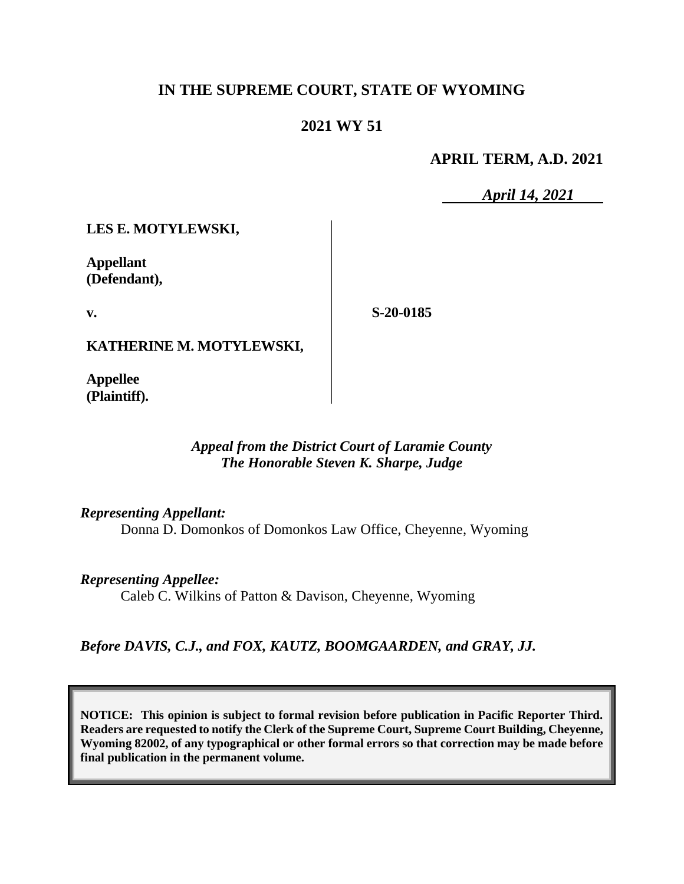# **IN THE SUPREME COURT, STATE OF WYOMING**

# **2021 WY 51**

## **APRIL TERM, A.D. 2021**

*April 14, 2021*

**LES E. MOTYLEWSKI,**

**Appellant (Defendant),**

**v.**

**S-20-0185**

**KATHERINE M. MOTYLEWSKI,**

**Appellee (Plaintiff).**

## *Appeal from the District Court of Laramie County The Honorable Steven K. Sharpe, Judge*

*Representing Appellant:* Donna D. Domonkos of Domonkos Law Office, Cheyenne, Wyoming

*Representing Appellee:* Caleb C. Wilkins of Patton & Davison, Cheyenne, Wyoming

*Before DAVIS, C.J., and FOX, KAUTZ, BOOMGAARDEN, and GRAY, JJ.*

**NOTICE: This opinion is subject to formal revision before publication in Pacific Reporter Third. Readers are requested to notify the Clerk of the Supreme Court, Supreme Court Building, Cheyenne, Wyoming 82002, of any typographical or other formal errors so that correction may be made before final publication in the permanent volume.**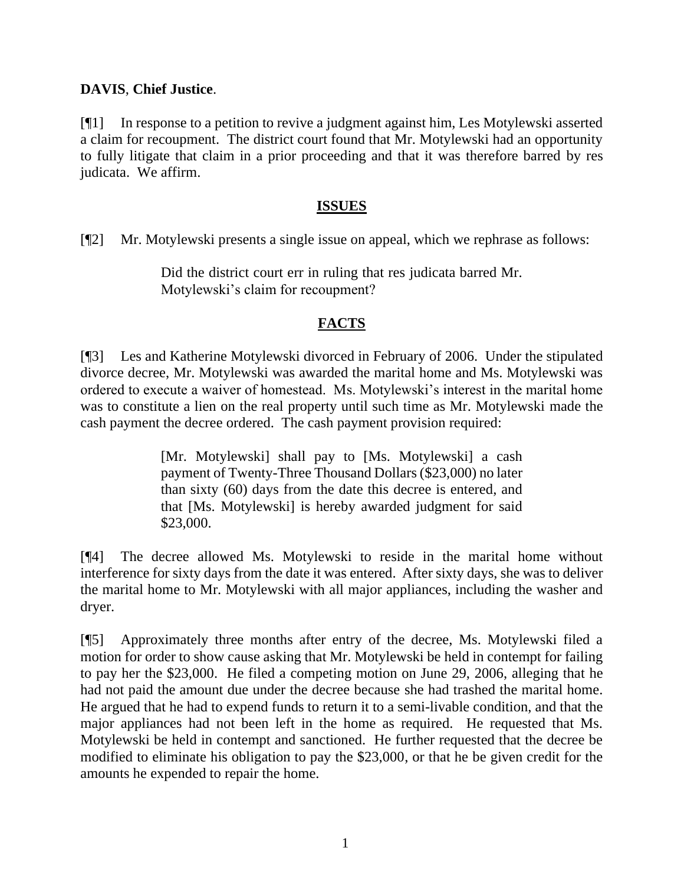## **DAVIS**, **Chief Justice**.

[¶1] In response to a petition to revive a judgment against him, Les Motylewski asserted a claim for recoupment. The district court found that Mr. Motylewski had an opportunity to fully litigate that claim in a prior proceeding and that it was therefore barred by res judicata. We affirm.

## **ISSUES**

[¶2] Mr. Motylewski presents a single issue on appeal, which we rephrase as follows:

Did the district court err in ruling that res judicata barred Mr. Motylewski's claim for recoupment?

## **FACTS**

[¶3] Les and Katherine Motylewski divorced in February of 2006. Under the stipulated divorce decree, Mr. Motylewski was awarded the marital home and Ms. Motylewski was ordered to execute a waiver of homestead. Ms. Motylewski's interest in the marital home was to constitute a lien on the real property until such time as Mr. Motylewski made the cash payment the decree ordered. The cash payment provision required:

> [Mr. Motylewski] shall pay to [Ms. Motylewski] a cash payment of Twenty-Three Thousand Dollars (\$23,000) no later than sixty (60) days from the date this decree is entered, and that [Ms. Motylewski] is hereby awarded judgment for said \$23,000.

[¶4] The decree allowed Ms. Motylewski to reside in the marital home without interference for sixty days from the date it was entered. After sixty days, she was to deliver the marital home to Mr. Motylewski with all major appliances, including the washer and dryer.

[¶5] Approximately three months after entry of the decree, Ms. Motylewski filed a motion for order to show cause asking that Mr. Motylewski be held in contempt for failing to pay her the \$23,000. He filed a competing motion on June 29, 2006, alleging that he had not paid the amount due under the decree because she had trashed the marital home. He argued that he had to expend funds to return it to a semi-livable condition, and that the major appliances had not been left in the home as required. He requested that Ms. Motylewski be held in contempt and sanctioned. He further requested that the decree be modified to eliminate his obligation to pay the \$23,000, or that he be given credit for the amounts he expended to repair the home.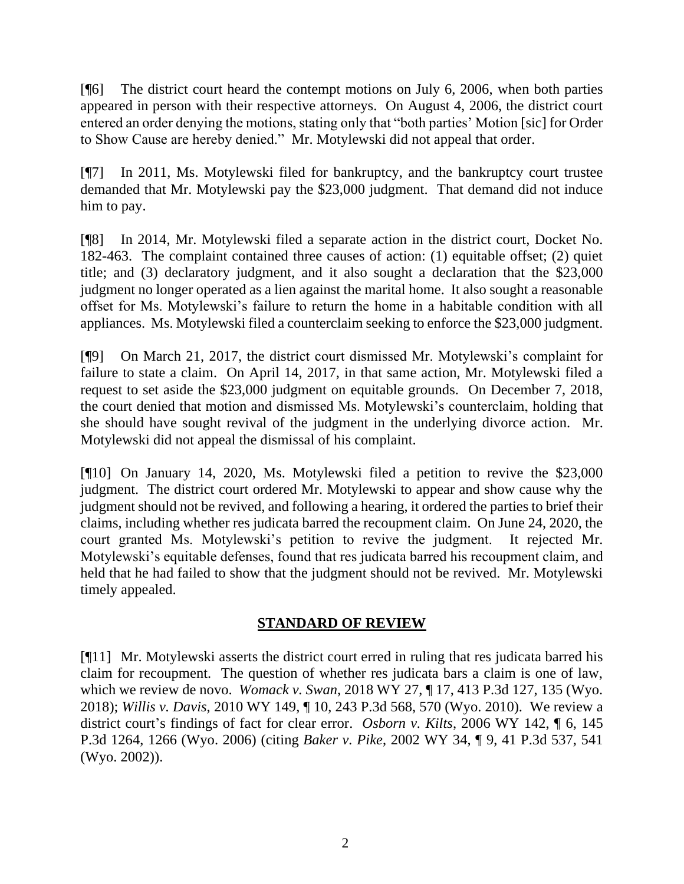[¶6] The district court heard the contempt motions on July 6, 2006, when both parties appeared in person with their respective attorneys. On August 4, 2006, the district court entered an order denying the motions, stating only that "both parties' Motion [sic] for Order to Show Cause are hereby denied." Mr. Motylewski did not appeal that order.

[¶7] In 2011, Ms. Motylewski filed for bankruptcy, and the bankruptcy court trustee demanded that Mr. Motylewski pay the \$23,000 judgment. That demand did not induce him to pay.

[¶8] In 2014, Mr. Motylewski filed a separate action in the district court, Docket No. 182-463. The complaint contained three causes of action: (1) equitable offset; (2) quiet title; and (3) declaratory judgment, and it also sought a declaration that the \$23,000 judgment no longer operated as a lien against the marital home. It also sought a reasonable offset for Ms. Motylewski's failure to return the home in a habitable condition with all appliances. Ms. Motylewski filed a counterclaim seeking to enforce the \$23,000 judgment.

[¶9] On March 21, 2017, the district court dismissed Mr. Motylewski's complaint for failure to state a claim. On April 14, 2017, in that same action, Mr. Motylewski filed a request to set aside the \$23,000 judgment on equitable grounds. On December 7, 2018, the court denied that motion and dismissed Ms. Motylewski's counterclaim, holding that she should have sought revival of the judgment in the underlying divorce action. Mr. Motylewski did not appeal the dismissal of his complaint.

[¶10] On January 14, 2020, Ms. Motylewski filed a petition to revive the \$23,000 judgment. The district court ordered Mr. Motylewski to appear and show cause why the judgment should not be revived, and following a hearing, it ordered the parties to brief their claims, including whether res judicata barred the recoupment claim. On June 24, 2020, the court granted Ms. Motylewski's petition to revive the judgment. It rejected Mr. Motylewski's equitable defenses, found that res judicata barred his recoupment claim, and held that he had failed to show that the judgment should not be revived. Mr. Motylewski timely appealed.

## **STANDARD OF REVIEW**

[¶11] Mr. Motylewski asserts the district court erred in ruling that res judicata barred his claim for recoupment. The question of whether res judicata bars a claim is one of law, which we review de novo. *Womack v. Swan*, 2018 WY 27, ¶ 17, 413 P.3d 127, 135 (Wyo. 2018); *Willis v. Davis*, 2010 WY 149, ¶ 10, 243 P.3d 568, 570 (Wyo. 2010). We review a district court's findings of fact for clear error. *Osborn v. Kilts*, 2006 WY 142, ¶ 6, 145 P.3d 1264, 1266 (Wyo. 2006) (citing *Baker v. Pike*, 2002 WY 34, ¶ 9, 41 P.3d 537, 541 (Wyo. 2002)).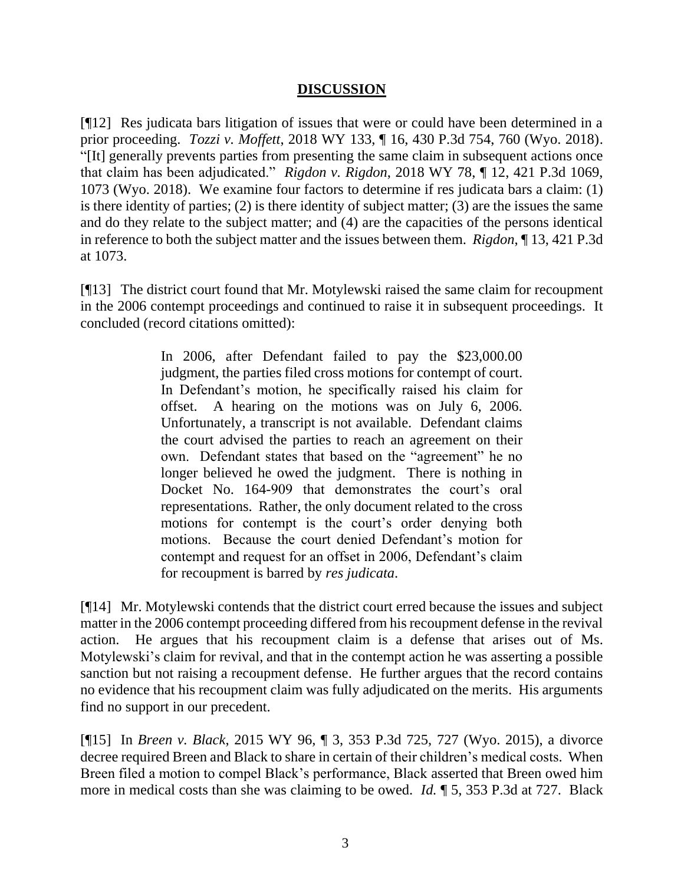## **DISCUSSION**

[¶12] Res judicata bars litigation of issues that were or could have been determined in a prior proceeding. *Tozzi v. Moffett*, 2018 WY 133, ¶ 16, 430 P.3d 754, 760 (Wyo. 2018). "[It] generally prevents parties from presenting the same claim in subsequent actions once that claim has been adjudicated." *Rigdon v. Rigdon*, 2018 WY 78, ¶ 12, 421 P.3d 1069, 1073 (Wyo. 2018). We examine four factors to determine if res judicata bars a claim: (1) is there identity of parties; (2) is there identity of subject matter; (3) are the issues the same and do they relate to the subject matter; and (4) are the capacities of the persons identical in reference to both the subject matter and the issues between them. *Rigdon*, ¶ 13, 421 P.3d at 1073.

[¶13] The district court found that Mr. Motylewski raised the same claim for recoupment in the 2006 contempt proceedings and continued to raise it in subsequent proceedings. It concluded (record citations omitted):

> In 2006, after Defendant failed to pay the \$23,000.00 judgment, the parties filed cross motions for contempt of court. In Defendant's motion, he specifically raised his claim for offset. A hearing on the motions was on July 6, 2006. Unfortunately, a transcript is not available. Defendant claims the court advised the parties to reach an agreement on their own. Defendant states that based on the "agreement" he no longer believed he owed the judgment. There is nothing in Docket No. 164-909 that demonstrates the court's oral representations. Rather, the only document related to the cross motions for contempt is the court's order denying both motions. Because the court denied Defendant's motion for contempt and request for an offset in 2006, Defendant's claim for recoupment is barred by *res judicata*.

[¶14] Mr. Motylewski contends that the district court erred because the issues and subject matter in the 2006 contempt proceeding differed from his recoupment defense in the revival action. He argues that his recoupment claim is a defense that arises out of Ms. Motylewski's claim for revival, and that in the contempt action he was asserting a possible sanction but not raising a recoupment defense. He further argues that the record contains no evidence that his recoupment claim was fully adjudicated on the merits. His arguments find no support in our precedent.

[¶15] In *Breen v. Black*, 2015 WY 96, ¶ 3, 353 P.3d 725, 727 (Wyo. 2015), a divorce decree required Breen and Black to share in certain of their children's medical costs. When Breen filed a motion to compel Black's performance, Black asserted that Breen owed him more in medical costs than she was claiming to be owed. *Id.* ¶ 5, 353 P.3d at 727. Black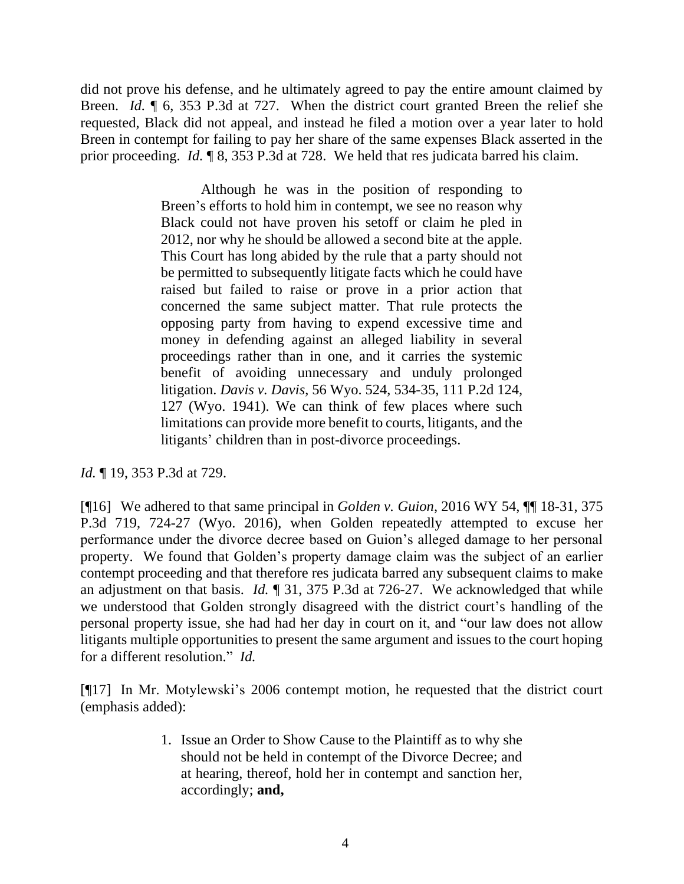did not prove his defense, and he ultimately agreed to pay the entire amount claimed by Breen. *Id.* ¶ 6, 353 P.3d at 727. When the district court granted Breen the relief she requested, Black did not appeal, and instead he filed a motion over a year later to hold Breen in contempt for failing to pay her share of the same expenses Black asserted in the prior proceeding. *Id.* ¶ 8, 353 P.3d at 728. We held that res judicata barred his claim.

> Although he was in the position of responding to Breen's efforts to hold him in contempt, we see no reason why Black could not have proven his setoff or claim he pled in 2012, nor why he should be allowed a second bite at the apple. This Court has long abided by the rule that a party should not be permitted to subsequently litigate facts which he could have raised but failed to raise or prove in a prior action that concerned the same subject matter. That rule protects the opposing party from having to expend excessive time and money in defending against an alleged liability in several proceedings rather than in one, and it carries the systemic benefit of avoiding unnecessary and unduly prolonged litigation. *Davis v. Davis*, 56 Wyo. 524, 534-35, 111 P.2d 124, 127 (Wyo. 1941). We can think of few places where such limitations can provide more benefit to courts, litigants, and the litigants' children than in post-divorce proceedings.

*Id.* ¶ 19, 353 P.3d at 729.

[¶16] We adhered to that same principal in *Golden v. Guion*, 2016 WY 54, ¶¶ 18-31, 375 P.3d 719, 724-27 (Wyo. 2016), when Golden repeatedly attempted to excuse her performance under the divorce decree based on Guion's alleged damage to her personal property. We found that Golden's property damage claim was the subject of an earlier contempt proceeding and that therefore res judicata barred any subsequent claims to make an adjustment on that basis. *Id.* ¶ 31, 375 P.3d at 726-27. We acknowledged that while we understood that Golden strongly disagreed with the district court's handling of the personal property issue, she had had her day in court on it, and "our law does not allow litigants multiple opportunities to present the same argument and issues to the court hoping for a different resolution." *Id.*

[¶17] In Mr. Motylewski's 2006 contempt motion, he requested that the district court (emphasis added):

> 1. Issue an Order to Show Cause to the Plaintiff as to why she should not be held in contempt of the Divorce Decree; and at hearing, thereof, hold her in contempt and sanction her, accordingly; **and,**